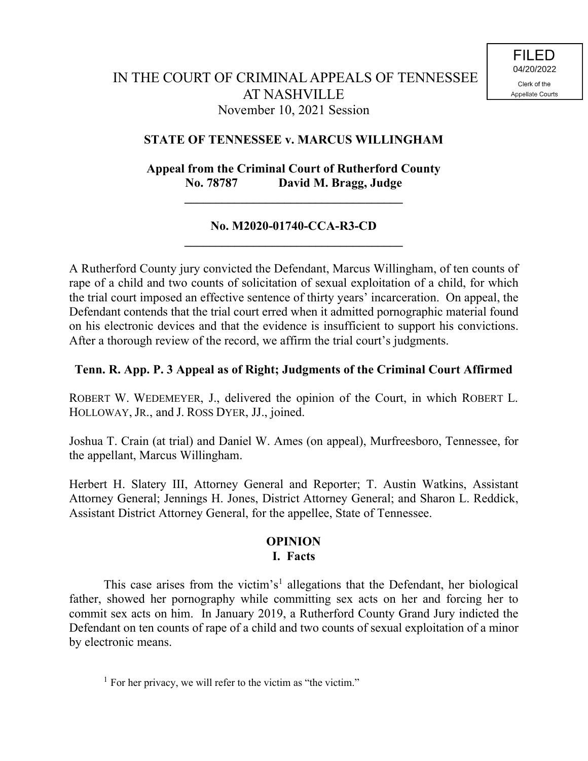## **STATE OF TENNESSEE v. MARCUS WILLINGHAM**

**Appeal from the Criminal Court of Rutherford County No. 78787 David M. Bragg, Judge** 

**\_\_\_\_\_\_\_\_\_\_\_\_\_\_\_\_\_\_\_\_\_\_\_\_\_\_\_\_\_\_\_\_\_\_\_**

## **No. M2020-01740-CCA-R3-CD \_\_\_\_\_\_\_\_\_\_\_\_\_\_\_\_\_\_\_\_\_\_\_\_\_\_\_\_\_\_\_\_\_\_\_**

A Rutherford County jury convicted the Defendant, Marcus Willingham, of ten counts of rape of a child and two counts of solicitation of sexual exploitation of a child, for which the trial court imposed an effective sentence of thirty years' incarceration. On appeal, the Defendant contends that the trial court erred when it admitted pornographic material found on his electronic devices and that the evidence is insufficient to support his convictions. After a thorough review of the record, we affirm the trial court's judgments.

# **Tenn. R. App. P. 3 Appeal as of Right; Judgments of the Criminal Court Affirmed**

ROBERT W. WEDEMEYER, J., delivered the opinion of the Court, in which ROBERT L. HOLLOWAY, JR., and J. ROSS DYER, JJ., joined.

Joshua T. Crain (at trial) and Daniel W. Ames (on appeal), Murfreesboro, Tennessee, for the appellant, Marcus Willingham.

Herbert H. Slatery III, Attorney General and Reporter; T. Austin Watkins, Assistant Attorney General; Jennings H. Jones, District Attorney General; and Sharon L. Reddick, Assistant District Attorney General, for the appellee, State of Tennessee.

## **OPINION I. Facts**

This case arises from the victim's<sup>1</sup> allegations that the Defendant, her biological father, showed her pornography while committing sex acts on her and forcing her to commit sex acts on him. In January 2019, a Rutherford County Grand Jury indicted the Defendant on ten counts of rape of a child and two counts of sexual exploitation of a minor by electronic means.

<sup>1</sup> For her privacy, we will refer to the victim as "the victim."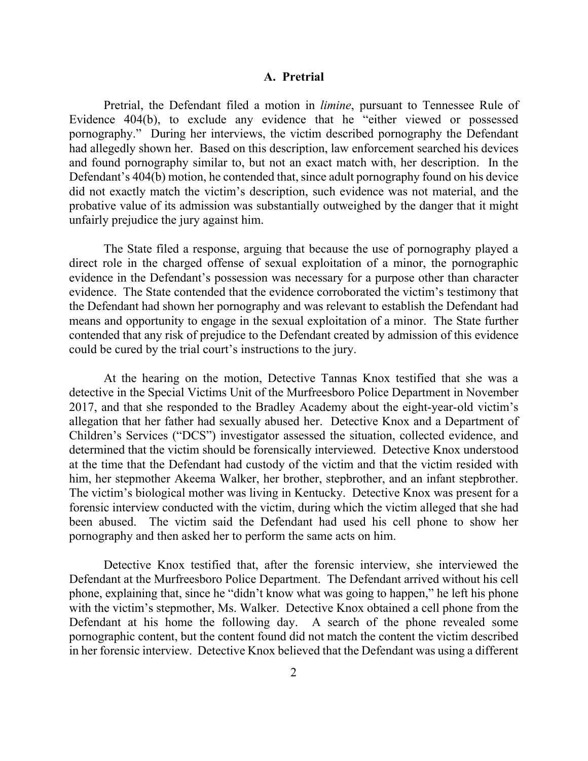#### **A. Pretrial**

Pretrial, the Defendant filed a motion in *limine*, pursuant to Tennessee Rule of Evidence 404(b), to exclude any evidence that he "either viewed or possessed pornography." During her interviews, the victim described pornography the Defendant had allegedly shown her. Based on this description, law enforcement searched his devices and found pornography similar to, but not an exact match with, her description. In the Defendant's 404(b) motion, he contended that, since adult pornography found on his device did not exactly match the victim's description, such evidence was not material, and the probative value of its admission was substantially outweighed by the danger that it might unfairly prejudice the jury against him.

The State filed a response, arguing that because the use of pornography played a direct role in the charged offense of sexual exploitation of a minor, the pornographic evidence in the Defendant's possession was necessary for a purpose other than character evidence. The State contended that the evidence corroborated the victim's testimony that the Defendant had shown her pornography and was relevant to establish the Defendant had means and opportunity to engage in the sexual exploitation of a minor. The State further contended that any risk of prejudice to the Defendant created by admission of this evidence could be cured by the trial court's instructions to the jury.

At the hearing on the motion, Detective Tannas Knox testified that she was a detective in the Special Victims Unit of the Murfreesboro Police Department in November 2017, and that she responded to the Bradley Academy about the eight-year-old victim's allegation that her father had sexually abused her. Detective Knox and a Department of Children's Services ("DCS") investigator assessed the situation, collected evidence, and determined that the victim should be forensically interviewed. Detective Knox understood at the time that the Defendant had custody of the victim and that the victim resided with him, her stepmother Akeema Walker, her brother, stepbrother, and an infant stepbrother. The victim's biological mother was living in Kentucky. Detective Knox was present for a forensic interview conducted with the victim, during which the victim alleged that she had been abused. The victim said the Defendant had used his cell phone to show her pornography and then asked her to perform the same acts on him.

Detective Knox testified that, after the forensic interview, she interviewed the Defendant at the Murfreesboro Police Department. The Defendant arrived without his cell phone, explaining that, since he "didn't know what was going to happen," he left his phone with the victim's stepmother, Ms. Walker. Detective Knox obtained a cell phone from the Defendant at his home the following day. A search of the phone revealed some pornographic content, but the content found did not match the content the victim described in her forensic interview. Detective Knox believed that the Defendant was using a different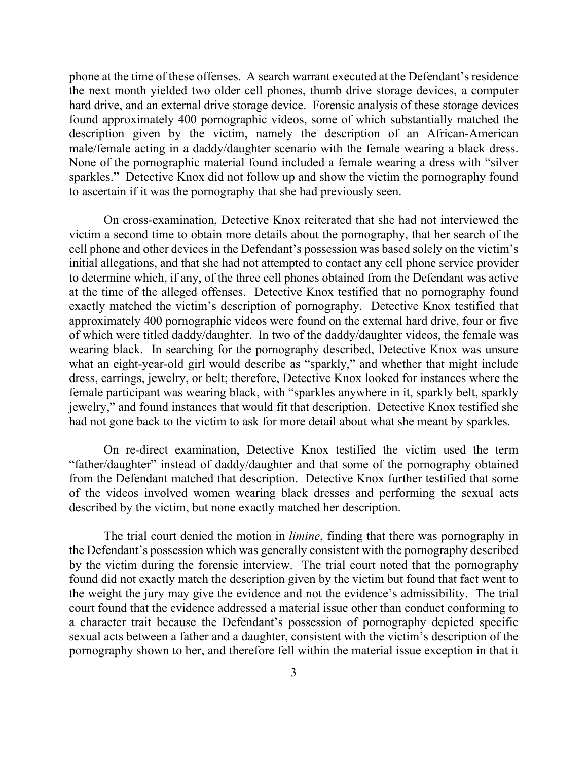phone at the time of these offenses. A search warrant executed at the Defendant's residence the next month yielded two older cell phones, thumb drive storage devices, a computer hard drive, and an external drive storage device. Forensic analysis of these storage devices found approximately 400 pornographic videos, some of which substantially matched the description given by the victim, namely the description of an African-American male/female acting in a daddy/daughter scenario with the female wearing a black dress. None of the pornographic material found included a female wearing a dress with "silver sparkles." Detective Knox did not follow up and show the victim the pornography found to ascertain if it was the pornography that she had previously seen.

On cross-examination, Detective Knox reiterated that she had not interviewed the victim a second time to obtain more details about the pornography, that her search of the cell phone and other devices in the Defendant's possession was based solely on the victim's initial allegations, and that she had not attempted to contact any cell phone service provider to determine which, if any, of the three cell phones obtained from the Defendant was active at the time of the alleged offenses. Detective Knox testified that no pornography found exactly matched the victim's description of pornography. Detective Knox testified that approximately 400 pornographic videos were found on the external hard drive, four or five of which were titled daddy/daughter. In two of the daddy/daughter videos, the female was wearing black. In searching for the pornography described, Detective Knox was unsure what an eight-year-old girl would describe as "sparkly," and whether that might include dress, earrings, jewelry, or belt; therefore, Detective Knox looked for instances where the female participant was wearing black, with "sparkles anywhere in it, sparkly belt, sparkly jewelry," and found instances that would fit that description. Detective Knox testified she had not gone back to the victim to ask for more detail about what she meant by sparkles.

On re-direct examination, Detective Knox testified the victim used the term "father/daughter" instead of daddy/daughter and that some of the pornography obtained from the Defendant matched that description. Detective Knox further testified that some of the videos involved women wearing black dresses and performing the sexual acts described by the victim, but none exactly matched her description.

The trial court denied the motion in *limine*, finding that there was pornography in the Defendant's possession which was generally consistent with the pornography described by the victim during the forensic interview. The trial court noted that the pornography found did not exactly match the description given by the victim but found that fact went to the weight the jury may give the evidence and not the evidence's admissibility. The trial court found that the evidence addressed a material issue other than conduct conforming to a character trait because the Defendant's possession of pornography depicted specific sexual acts between a father and a daughter, consistent with the victim's description of the pornography shown to her, and therefore fell within the material issue exception in that it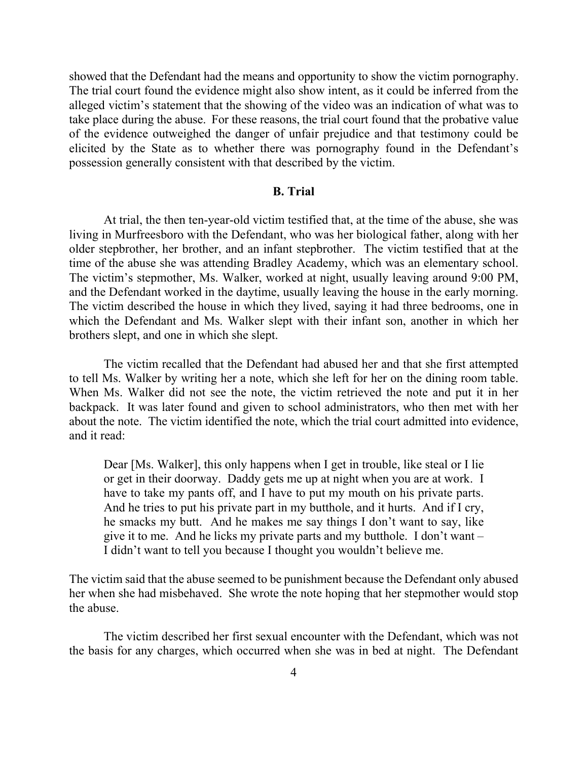showed that the Defendant had the means and opportunity to show the victim pornography. The trial court found the evidence might also show intent, as it could be inferred from the alleged victim's statement that the showing of the video was an indication of what was to take place during the abuse. For these reasons, the trial court found that the probative value of the evidence outweighed the danger of unfair prejudice and that testimony could be elicited by the State as to whether there was pornography found in the Defendant's possession generally consistent with that described by the victim.

#### **B. Trial**

At trial, the then ten-year-old victim testified that, at the time of the abuse, she was living in Murfreesboro with the Defendant, who was her biological father, along with her older stepbrother, her brother, and an infant stepbrother. The victim testified that at the time of the abuse she was attending Bradley Academy, which was an elementary school. The victim's stepmother, Ms. Walker, worked at night, usually leaving around 9:00 PM, and the Defendant worked in the daytime, usually leaving the house in the early morning. The victim described the house in which they lived, saying it had three bedrooms, one in which the Defendant and Ms. Walker slept with their infant son, another in which her brothers slept, and one in which she slept.

The victim recalled that the Defendant had abused her and that she first attempted to tell Ms. Walker by writing her a note, which she left for her on the dining room table. When Ms. Walker did not see the note, the victim retrieved the note and put it in her backpack. It was later found and given to school administrators, who then met with her about the note. The victim identified the note, which the trial court admitted into evidence, and it read:

Dear [Ms. Walker], this only happens when I get in trouble, like steal or I lie or get in their doorway. Daddy gets me up at night when you are at work. I have to take my pants off, and I have to put my mouth on his private parts. And he tries to put his private part in my butthole, and it hurts. And if I cry, he smacks my butt. And he makes me say things I don't want to say, like give it to me. And he licks my private parts and my butthole. I don't want – I didn't want to tell you because I thought you wouldn't believe me.

The victim said that the abuse seemed to be punishment because the Defendant only abused her when she had misbehaved. She wrote the note hoping that her stepmother would stop the abuse.

The victim described her first sexual encounter with the Defendant, which was not the basis for any charges, which occurred when she was in bed at night. The Defendant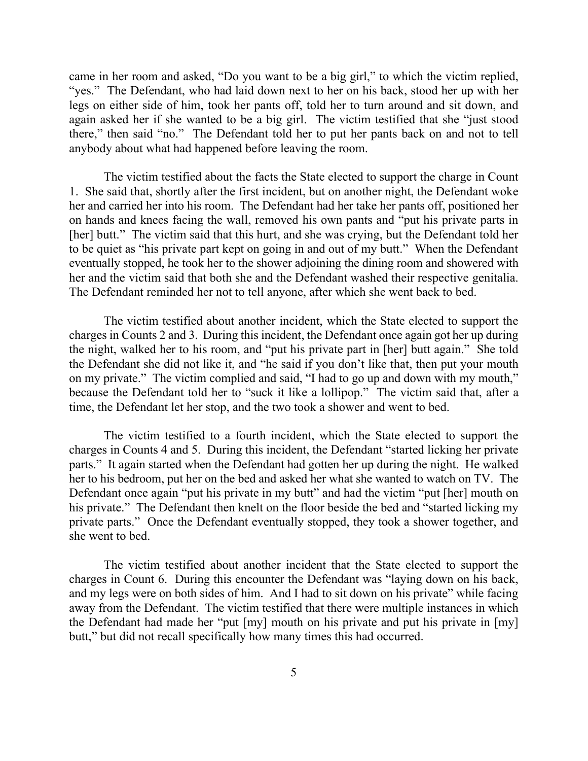came in her room and asked, "Do you want to be a big girl," to which the victim replied, "yes." The Defendant, who had laid down next to her on his back, stood her up with her legs on either side of him, took her pants off, told her to turn around and sit down, and again asked her if she wanted to be a big girl. The victim testified that she "just stood there," then said "no." The Defendant told her to put her pants back on and not to tell anybody about what had happened before leaving the room.

The victim testified about the facts the State elected to support the charge in Count 1. She said that, shortly after the first incident, but on another night, the Defendant woke her and carried her into his room. The Defendant had her take her pants off, positioned her on hands and knees facing the wall, removed his own pants and "put his private parts in [her] butt." The victim said that this hurt, and she was crying, but the Defendant told her to be quiet as "his private part kept on going in and out of my butt." When the Defendant eventually stopped, he took her to the shower adjoining the dining room and showered with her and the victim said that both she and the Defendant washed their respective genitalia. The Defendant reminded her not to tell anyone, after which she went back to bed.

The victim testified about another incident, which the State elected to support the charges in Counts 2 and 3. During this incident, the Defendant once again got her up during the night, walked her to his room, and "put his private part in [her] butt again." She told the Defendant she did not like it, and "he said if you don't like that, then put your mouth on my private." The victim complied and said, "I had to go up and down with my mouth," because the Defendant told her to "suck it like a lollipop." The victim said that, after a time, the Defendant let her stop, and the two took a shower and went to bed.

The victim testified to a fourth incident, which the State elected to support the charges in Counts 4 and 5. During this incident, the Defendant "started licking her private parts." It again started when the Defendant had gotten her up during the night. He walked her to his bedroom, put her on the bed and asked her what she wanted to watch on TV. The Defendant once again "put his private in my butt" and had the victim "put [her] mouth on his private." The Defendant then knelt on the floor beside the bed and "started licking my private parts." Once the Defendant eventually stopped, they took a shower together, and she went to bed.

The victim testified about another incident that the State elected to support the charges in Count 6. During this encounter the Defendant was "laying down on his back, and my legs were on both sides of him. And I had to sit down on his private" while facing away from the Defendant. The victim testified that there were multiple instances in which the Defendant had made her "put [my] mouth on his private and put his private in [my] butt," but did not recall specifically how many times this had occurred.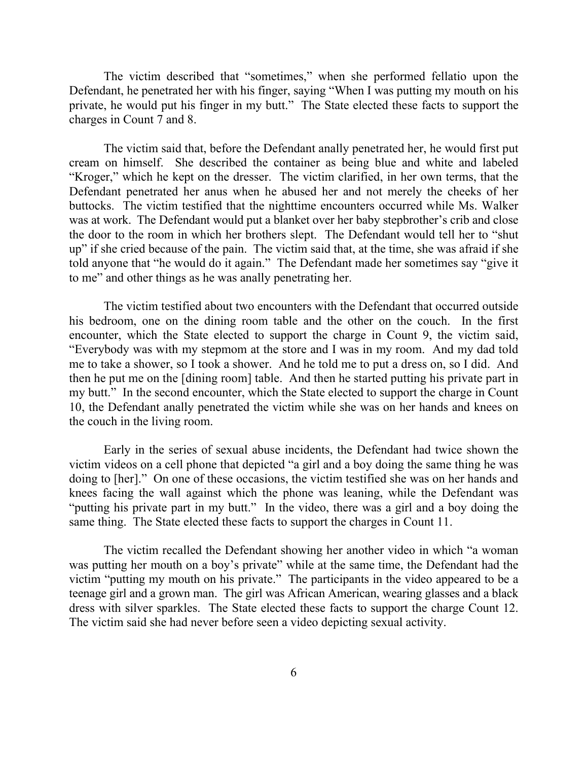The victim described that "sometimes," when she performed fellatio upon the Defendant, he penetrated her with his finger, saying "When I was putting my mouth on his private, he would put his finger in my butt." The State elected these facts to support the charges in Count 7 and 8.

The victim said that, before the Defendant anally penetrated her, he would first put cream on himself. She described the container as being blue and white and labeled "Kroger," which he kept on the dresser. The victim clarified, in her own terms, that the Defendant penetrated her anus when he abused her and not merely the cheeks of her buttocks. The victim testified that the nighttime encounters occurred while Ms. Walker was at work. The Defendant would put a blanket over her baby stepbrother's crib and close the door to the room in which her brothers slept. The Defendant would tell her to "shut up" if she cried because of the pain. The victim said that, at the time, she was afraid if she told anyone that "he would do it again." The Defendant made her sometimes say "give it to me" and other things as he was anally penetrating her.

The victim testified about two encounters with the Defendant that occurred outside his bedroom, one on the dining room table and the other on the couch. In the first encounter, which the State elected to support the charge in Count 9, the victim said, "Everybody was with my stepmom at the store and I was in my room. And my dad told me to take a shower, so I took a shower. And he told me to put a dress on, so I did. And then he put me on the [dining room] table. And then he started putting his private part in my butt." In the second encounter, which the State elected to support the charge in Count 10, the Defendant anally penetrated the victim while she was on her hands and knees on the couch in the living room.

Early in the series of sexual abuse incidents, the Defendant had twice shown the victim videos on a cell phone that depicted "a girl and a boy doing the same thing he was doing to [her]." On one of these occasions, the victim testified she was on her hands and knees facing the wall against which the phone was leaning, while the Defendant was "putting his private part in my butt." In the video, there was a girl and a boy doing the same thing. The State elected these facts to support the charges in Count 11.

The victim recalled the Defendant showing her another video in which "a woman was putting her mouth on a boy's private" while at the same time, the Defendant had the victim "putting my mouth on his private." The participants in the video appeared to be a teenage girl and a grown man. The girl was African American, wearing glasses and a black dress with silver sparkles. The State elected these facts to support the charge Count 12. The victim said she had never before seen a video depicting sexual activity.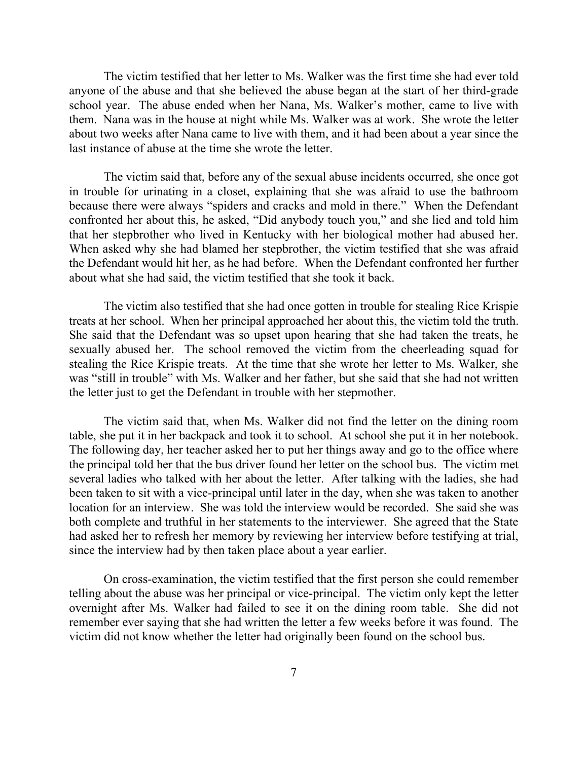The victim testified that her letter to Ms. Walker was the first time she had ever told anyone of the abuse and that she believed the abuse began at the start of her third-grade school year. The abuse ended when her Nana, Ms. Walker's mother, came to live with them. Nana was in the house at night while Ms. Walker was at work. She wrote the letter about two weeks after Nana came to live with them, and it had been about a year since the last instance of abuse at the time she wrote the letter.

The victim said that, before any of the sexual abuse incidents occurred, she once got in trouble for urinating in a closet, explaining that she was afraid to use the bathroom because there were always "spiders and cracks and mold in there." When the Defendant confronted her about this, he asked, "Did anybody touch you," and she lied and told him that her stepbrother who lived in Kentucky with her biological mother had abused her. When asked why she had blamed her stepbrother, the victim testified that she was afraid the Defendant would hit her, as he had before. When the Defendant confronted her further about what she had said, the victim testified that she took it back.

The victim also testified that she had once gotten in trouble for stealing Rice Krispie treats at her school. When her principal approached her about this, the victim told the truth. She said that the Defendant was so upset upon hearing that she had taken the treats, he sexually abused her. The school removed the victim from the cheerleading squad for stealing the Rice Krispie treats. At the time that she wrote her letter to Ms. Walker, she was "still in trouble" with Ms. Walker and her father, but she said that she had not written the letter just to get the Defendant in trouble with her stepmother.

The victim said that, when Ms. Walker did not find the letter on the dining room table, she put it in her backpack and took it to school. At school she put it in her notebook. The following day, her teacher asked her to put her things away and go to the office where the principal told her that the bus driver found her letter on the school bus. The victim met several ladies who talked with her about the letter. After talking with the ladies, she had been taken to sit with a vice-principal until later in the day, when she was taken to another location for an interview. She was told the interview would be recorded. She said she was both complete and truthful in her statements to the interviewer. She agreed that the State had asked her to refresh her memory by reviewing her interview before testifying at trial, since the interview had by then taken place about a year earlier.

On cross-examination, the victim testified that the first person she could remember telling about the abuse was her principal or vice-principal. The victim only kept the letter overnight after Ms. Walker had failed to see it on the dining room table. She did not remember ever saying that she had written the letter a few weeks before it was found. The victim did not know whether the letter had originally been found on the school bus.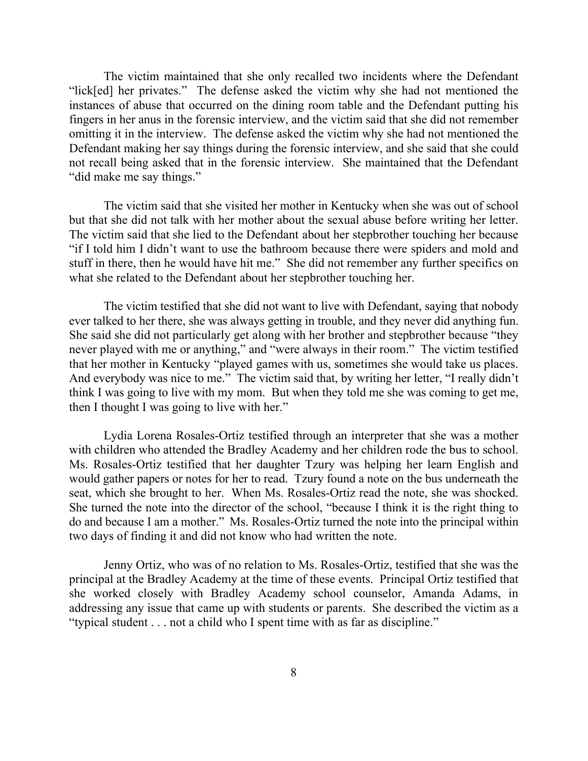The victim maintained that she only recalled two incidents where the Defendant "lick[ed] her privates." The defense asked the victim why she had not mentioned the instances of abuse that occurred on the dining room table and the Defendant putting his fingers in her anus in the forensic interview, and the victim said that she did not remember omitting it in the interview. The defense asked the victim why she had not mentioned the Defendant making her say things during the forensic interview, and she said that she could not recall being asked that in the forensic interview. She maintained that the Defendant "did make me say things."

The victim said that she visited her mother in Kentucky when she was out of school but that she did not talk with her mother about the sexual abuse before writing her letter. The victim said that she lied to the Defendant about her stepbrother touching her because "if I told him I didn't want to use the bathroom because there were spiders and mold and stuff in there, then he would have hit me." She did not remember any further specifics on what she related to the Defendant about her stepbrother touching her.

The victim testified that she did not want to live with Defendant, saying that nobody ever talked to her there, she was always getting in trouble, and they never did anything fun. She said she did not particularly get along with her brother and stepbrother because "they never played with me or anything," and "were always in their room." The victim testified that her mother in Kentucky "played games with us, sometimes she would take us places. And everybody was nice to me." The victim said that, by writing her letter, "I really didn't think I was going to live with my mom. But when they told me she was coming to get me, then I thought I was going to live with her."

Lydia Lorena Rosales-Ortiz testified through an interpreter that she was a mother with children who attended the Bradley Academy and her children rode the bus to school. Ms. Rosales-Ortiz testified that her daughter Tzury was helping her learn English and would gather papers or notes for her to read. Tzury found a note on the bus underneath the seat, which she brought to her. When Ms. Rosales-Ortiz read the note, she was shocked. She turned the note into the director of the school, "because I think it is the right thing to do and because I am a mother." Ms. Rosales-Ortiz turned the note into the principal within two days of finding it and did not know who had written the note.

Jenny Ortiz, who was of no relation to Ms. Rosales-Ortiz, testified that she was the principal at the Bradley Academy at the time of these events. Principal Ortiz testified that she worked closely with Bradley Academy school counselor, Amanda Adams, in addressing any issue that came up with students or parents. She described the victim as a "typical student . . . not a child who I spent time with as far as discipline."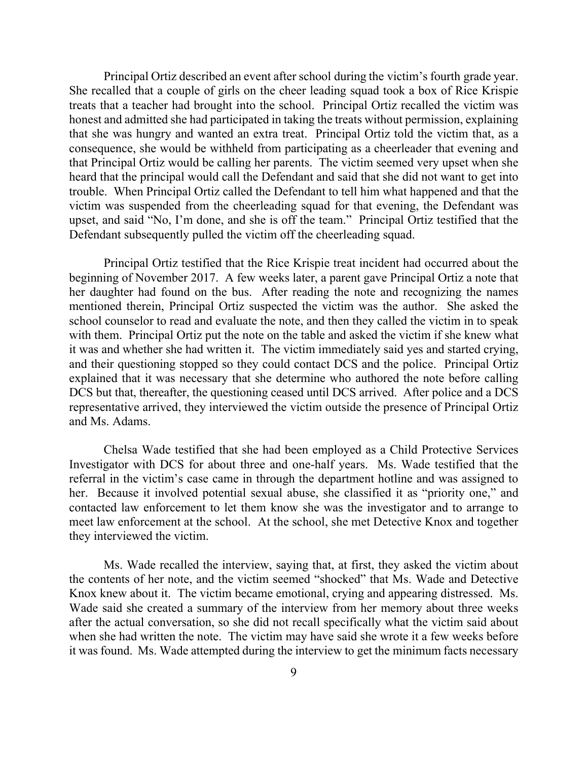Principal Ortiz described an event after school during the victim's fourth grade year. She recalled that a couple of girls on the cheer leading squad took a box of Rice Krispie treats that a teacher had brought into the school. Principal Ortiz recalled the victim was honest and admitted she had participated in taking the treats without permission, explaining that she was hungry and wanted an extra treat. Principal Ortiz told the victim that, as a consequence, she would be withheld from participating as a cheerleader that evening and that Principal Ortiz would be calling her parents. The victim seemed very upset when she heard that the principal would call the Defendant and said that she did not want to get into trouble. When Principal Ortiz called the Defendant to tell him what happened and that the victim was suspended from the cheerleading squad for that evening, the Defendant was upset, and said "No, I'm done, and she is off the team." Principal Ortiz testified that the Defendant subsequently pulled the victim off the cheerleading squad.

Principal Ortiz testified that the Rice Krispie treat incident had occurred about the beginning of November 2017. A few weeks later, a parent gave Principal Ortiz a note that her daughter had found on the bus. After reading the note and recognizing the names mentioned therein, Principal Ortiz suspected the victim was the author. She asked the school counselor to read and evaluate the note, and then they called the victim in to speak with them. Principal Ortiz put the note on the table and asked the victim if she knew what it was and whether she had written it. The victim immediately said yes and started crying, and their questioning stopped so they could contact DCS and the police. Principal Ortiz explained that it was necessary that she determine who authored the note before calling DCS but that, thereafter, the questioning ceased until DCS arrived. After police and a DCS representative arrived, they interviewed the victim outside the presence of Principal Ortiz and Ms. Adams.

Chelsa Wade testified that she had been employed as a Child Protective Services Investigator with DCS for about three and one-half years. Ms. Wade testified that the referral in the victim's case came in through the department hotline and was assigned to her. Because it involved potential sexual abuse, she classified it as "priority one," and contacted law enforcement to let them know she was the investigator and to arrange to meet law enforcement at the school. At the school, she met Detective Knox and together they interviewed the victim.

Ms. Wade recalled the interview, saying that, at first, they asked the victim about the contents of her note, and the victim seemed "shocked" that Ms. Wade and Detective Knox knew about it. The victim became emotional, crying and appearing distressed. Ms. Wade said she created a summary of the interview from her memory about three weeks after the actual conversation, so she did not recall specifically what the victim said about when she had written the note. The victim may have said she wrote it a few weeks before it was found. Ms. Wade attempted during the interview to get the minimum facts necessary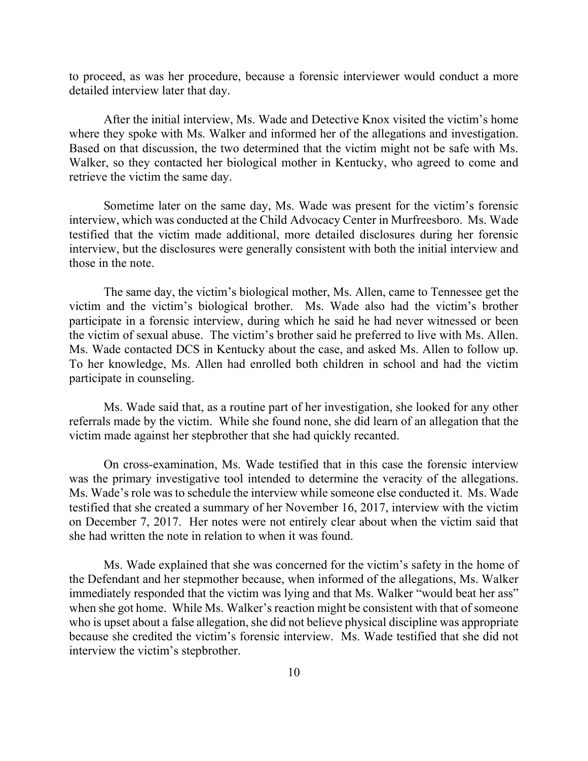to proceed, as was her procedure, because a forensic interviewer would conduct a more detailed interview later that day.

After the initial interview, Ms. Wade and Detective Knox visited the victim's home where they spoke with Ms. Walker and informed her of the allegations and investigation. Based on that discussion, the two determined that the victim might not be safe with Ms. Walker, so they contacted her biological mother in Kentucky, who agreed to come and retrieve the victim the same day.

Sometime later on the same day, Ms. Wade was present for the victim's forensic interview, which was conducted at the Child Advocacy Center in Murfreesboro. Ms. Wade testified that the victim made additional, more detailed disclosures during her forensic interview, but the disclosures were generally consistent with both the initial interview and those in the note.

The same day, the victim's biological mother, Ms. Allen, came to Tennessee get the victim and the victim's biological brother. Ms. Wade also had the victim's brother participate in a forensic interview, during which he said he had never witnessed or been the victim of sexual abuse. The victim's brother said he preferred to live with Ms. Allen. Ms. Wade contacted DCS in Kentucky about the case, and asked Ms. Allen to follow up. To her knowledge, Ms. Allen had enrolled both children in school and had the victim participate in counseling.

Ms. Wade said that, as a routine part of her investigation, she looked for any other referrals made by the victim. While she found none, she did learn of an allegation that the victim made against her stepbrother that she had quickly recanted.

On cross-examination, Ms. Wade testified that in this case the forensic interview was the primary investigative tool intended to determine the veracity of the allegations. Ms. Wade's role was to schedule the interview while someone else conducted it. Ms. Wade testified that she created a summary of her November 16, 2017, interview with the victim on December 7, 2017. Her notes were not entirely clear about when the victim said that she had written the note in relation to when it was found.

Ms. Wade explained that she was concerned for the victim's safety in the home of the Defendant and her stepmother because, when informed of the allegations, Ms. Walker immediately responded that the victim was lying and that Ms. Walker "would beat her ass" when she got home. While Ms. Walker's reaction might be consistent with that of someone who is upset about a false allegation, she did not believe physical discipline was appropriate because she credited the victim's forensic interview. Ms. Wade testified that she did not interview the victim's stepbrother.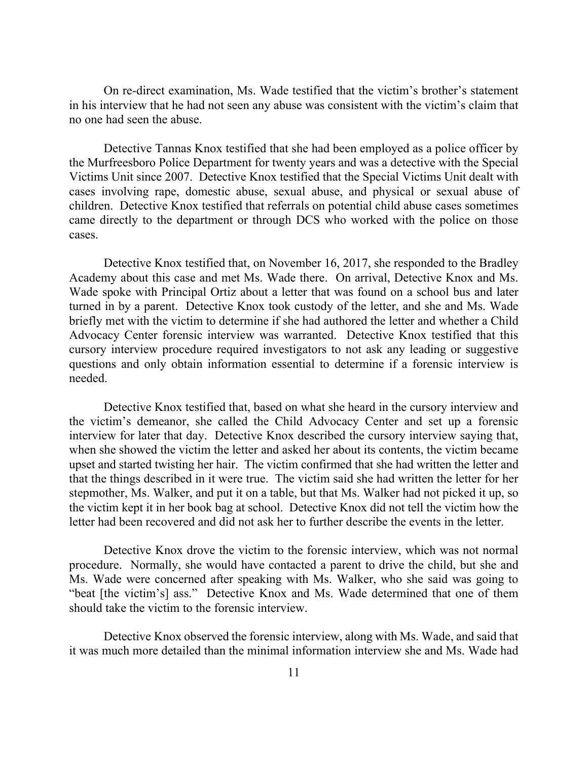On re-direct examination, Ms. Wade testified that the victim's brother's statement in his interview that he had not seen any abuse was consistent with the victim's claim that no one had seen the abuse.

Detective Tannas Knox testified that she had been employed as a police officer by the Murfreesboro Police Department for twenty years and was a detective with the Special Victims Unit since 2007. Detective Knox testified that the Special Victims Unit dealt with cases involving rape, domestic abuse, sexual abuse, and physical or sexual abuse of children. Detective Knox testified that referrals on potential child abuse cases sometimes came directly to the department or through DCS who worked with the police on those cases.

Detective Knox testified that, on November 16, 2017, she responded to the Bradley Academy about this case and met Ms. Wade there. On arrival, Detective Knox and Ms. Wade spoke with Principal Ortiz about a letter that was found on a school bus and later turned in by a parent. Detective Knox took custody of the letter, and she and Ms. Wade briefly met with the victim to determine if she had authored the letter and whether a Child Advocacy Center forensic interview was warranted. Detective Knox testified that this cursory interview procedure required investigators to not ask any leading or suggestive questions and only obtain information essential to determine if a forensic interview is needed.

Detective Knox testified that, based on what she heard in the cursory interview and the victim's demeanor, she called the Child Advocacy Center and set up a forensic interview for later that day. Detective Knox described the cursory interview saying that, when she showed the victim the letter and asked her about its contents, the victim became upset and started twisting her hair. The victim confirmed that she had written the letter and that the things described in it were true. The victim said she had written the letter for her stepmother, Ms. Walker, and put it on a table, but that Ms. Walker had not picked it up, so the victim kept it in her book bag at school. Detective Knox did not tell the victim how the letter had been recovered and did not ask her to further describe the events in the letter.

Detective Knox drove the victim to the forensic interview, which was not normal procedure. Normally, she would have contacted a parent to drive the child, but she and Ms. Wade were concerned after speaking with Ms. Walker, who she said was going to "beat [the victim's] ass." Detective Knox and Ms. Wade determined that one of them should take the victim to the forensic interview.

Detective Knox observed the forensic interview, along with Ms. Wade, and said that it was much more detailed than the minimal information interview she and Ms. Wade had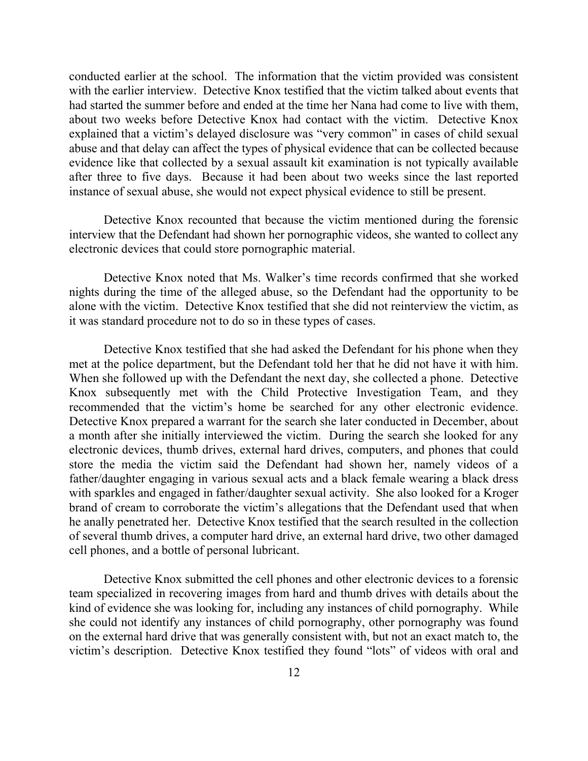conducted earlier at the school. The information that the victim provided was consistent with the earlier interview. Detective Knox testified that the victim talked about events that had started the summer before and ended at the time her Nana had come to live with them, about two weeks before Detective Knox had contact with the victim. Detective Knox explained that a victim's delayed disclosure was "very common" in cases of child sexual abuse and that delay can affect the types of physical evidence that can be collected because evidence like that collected by a sexual assault kit examination is not typically available after three to five days. Because it had been about two weeks since the last reported instance of sexual abuse, she would not expect physical evidence to still be present.

Detective Knox recounted that because the victim mentioned during the forensic interview that the Defendant had shown her pornographic videos, she wanted to collect any electronic devices that could store pornographic material.

Detective Knox noted that Ms. Walker's time records confirmed that she worked nights during the time of the alleged abuse, so the Defendant had the opportunity to be alone with the victim. Detective Knox testified that she did not reinterview the victim, as it was standard procedure not to do so in these types of cases.

Detective Knox testified that she had asked the Defendant for his phone when they met at the police department, but the Defendant told her that he did not have it with him. When she followed up with the Defendant the next day, she collected a phone. Detective Knox subsequently met with the Child Protective Investigation Team, and they recommended that the victim's home be searched for any other electronic evidence. Detective Knox prepared a warrant for the search she later conducted in December, about a month after she initially interviewed the victim. During the search she looked for any electronic devices, thumb drives, external hard drives, computers, and phones that could store the media the victim said the Defendant had shown her, namely videos of a father/daughter engaging in various sexual acts and a black female wearing a black dress with sparkles and engaged in father/daughter sexual activity. She also looked for a Kroger brand of cream to corroborate the victim's allegations that the Defendant used that when he anally penetrated her. Detective Knox testified that the search resulted in the collection of several thumb drives, a computer hard drive, an external hard drive, two other damaged cell phones, and a bottle of personal lubricant.

Detective Knox submitted the cell phones and other electronic devices to a forensic team specialized in recovering images from hard and thumb drives with details about the kind of evidence she was looking for, including any instances of child pornography. While she could not identify any instances of child pornography, other pornography was found on the external hard drive that was generally consistent with, but not an exact match to, the victim's description. Detective Knox testified they found "lots" of videos with oral and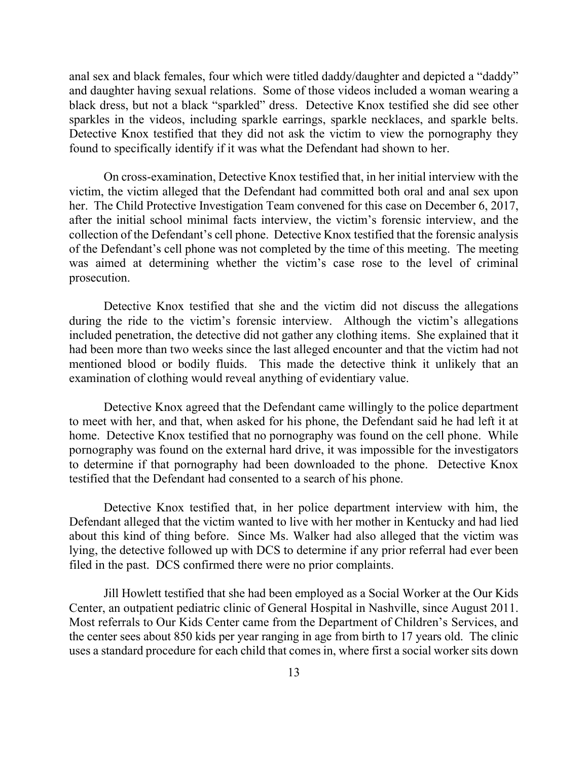anal sex and black females, four which were titled daddy/daughter and depicted a "daddy" and daughter having sexual relations. Some of those videos included a woman wearing a black dress, but not a black "sparkled" dress. Detective Knox testified she did see other sparkles in the videos, including sparkle earrings, sparkle necklaces, and sparkle belts. Detective Knox testified that they did not ask the victim to view the pornography they found to specifically identify if it was what the Defendant had shown to her.

On cross-examination, Detective Knox testified that, in her initial interview with the victim, the victim alleged that the Defendant had committed both oral and anal sex upon her. The Child Protective Investigation Team convened for this case on December 6, 2017, after the initial school minimal facts interview, the victim's forensic interview, and the collection of the Defendant's cell phone. Detective Knox testified that the forensic analysis of the Defendant's cell phone was not completed by the time of this meeting. The meeting was aimed at determining whether the victim's case rose to the level of criminal prosecution.

Detective Knox testified that she and the victim did not discuss the allegations during the ride to the victim's forensic interview. Although the victim's allegations included penetration, the detective did not gather any clothing items. She explained that it had been more than two weeks since the last alleged encounter and that the victim had not mentioned blood or bodily fluids. This made the detective think it unlikely that an examination of clothing would reveal anything of evidentiary value.

Detective Knox agreed that the Defendant came willingly to the police department to meet with her, and that, when asked for his phone, the Defendant said he had left it at home. Detective Knox testified that no pornography was found on the cell phone. While pornography was found on the external hard drive, it was impossible for the investigators to determine if that pornography had been downloaded to the phone. Detective Knox testified that the Defendant had consented to a search of his phone.

Detective Knox testified that, in her police department interview with him, the Defendant alleged that the victim wanted to live with her mother in Kentucky and had lied about this kind of thing before. Since Ms. Walker had also alleged that the victim was lying, the detective followed up with DCS to determine if any prior referral had ever been filed in the past. DCS confirmed there were no prior complaints.

Jill Howlett testified that she had been employed as a Social Worker at the Our Kids Center, an outpatient pediatric clinic of General Hospital in Nashville, since August 2011. Most referrals to Our Kids Center came from the Department of Children's Services, and the center sees about 850 kids per year ranging in age from birth to 17 years old. The clinic uses a standard procedure for each child that comes in, where first a social worker sits down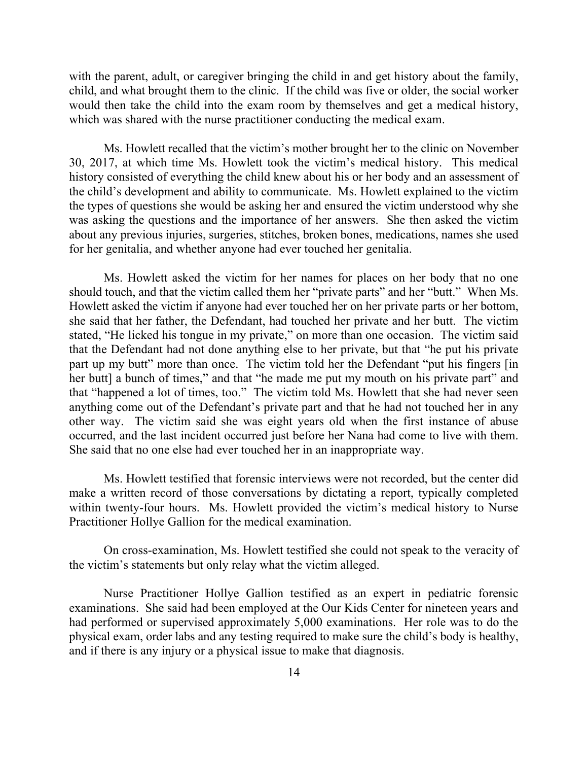with the parent, adult, or caregiver bringing the child in and get history about the family, child, and what brought them to the clinic. If the child was five or older, the social worker would then take the child into the exam room by themselves and get a medical history, which was shared with the nurse practitioner conducting the medical exam.

Ms. Howlett recalled that the victim's mother brought her to the clinic on November 30, 2017, at which time Ms. Howlett took the victim's medical history. This medical history consisted of everything the child knew about his or her body and an assessment of the child's development and ability to communicate. Ms. Howlett explained to the victim the types of questions she would be asking her and ensured the victim understood why she was asking the questions and the importance of her answers. She then asked the victim about any previous injuries, surgeries, stitches, broken bones, medications, names she used for her genitalia, and whether anyone had ever touched her genitalia.

Ms. Howlett asked the victim for her names for places on her body that no one should touch, and that the victim called them her "private parts" and her "butt." When Ms. Howlett asked the victim if anyone had ever touched her on her private parts or her bottom, she said that her father, the Defendant, had touched her private and her butt. The victim stated, "He licked his tongue in my private," on more than one occasion. The victim said that the Defendant had not done anything else to her private, but that "he put his private part up my butt" more than once. The victim told her the Defendant "put his fingers [in her butt] a bunch of times," and that "he made me put my mouth on his private part" and that "happened a lot of times, too." The victim told Ms. Howlett that she had never seen anything come out of the Defendant's private part and that he had not touched her in any other way. The victim said she was eight years old when the first instance of abuse occurred, and the last incident occurred just before her Nana had come to live with them. She said that no one else had ever touched her in an inappropriate way.

Ms. Howlett testified that forensic interviews were not recorded, but the center did make a written record of those conversations by dictating a report, typically completed within twenty-four hours. Ms. Howlett provided the victim's medical history to Nurse Practitioner Hollye Gallion for the medical examination.

On cross-examination, Ms. Howlett testified she could not speak to the veracity of the victim's statements but only relay what the victim alleged.

Nurse Practitioner Hollye Gallion testified as an expert in pediatric forensic examinations. She said had been employed at the Our Kids Center for nineteen years and had performed or supervised approximately 5,000 examinations. Her role was to do the physical exam, order labs and any testing required to make sure the child's body is healthy, and if there is any injury or a physical issue to make that diagnosis.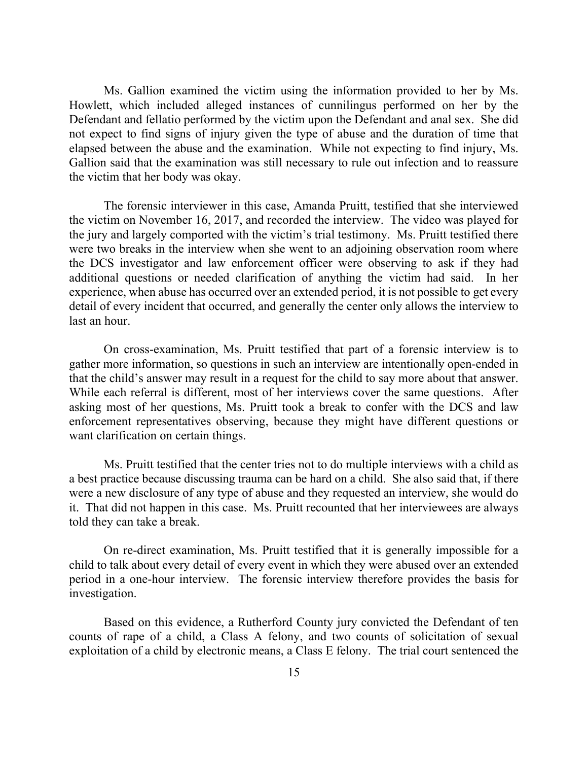Ms. Gallion examined the victim using the information provided to her by Ms. Howlett, which included alleged instances of cunnilingus performed on her by the Defendant and fellatio performed by the victim upon the Defendant and anal sex. She did not expect to find signs of injury given the type of abuse and the duration of time that elapsed between the abuse and the examination. While not expecting to find injury, Ms. Gallion said that the examination was still necessary to rule out infection and to reassure the victim that her body was okay.

The forensic interviewer in this case, Amanda Pruitt, testified that she interviewed the victim on November 16, 2017, and recorded the interview. The video was played for the jury and largely comported with the victim's trial testimony. Ms. Pruitt testified there were two breaks in the interview when she went to an adjoining observation room where the DCS investigator and law enforcement officer were observing to ask if they had additional questions or needed clarification of anything the victim had said. In her experience, when abuse has occurred over an extended period, it is not possible to get every detail of every incident that occurred, and generally the center only allows the interview to last an hour.

On cross-examination, Ms. Pruitt testified that part of a forensic interview is to gather more information, so questions in such an interview are intentionally open-ended in that the child's answer may result in a request for the child to say more about that answer. While each referral is different, most of her interviews cover the same questions. After asking most of her questions, Ms. Pruitt took a break to confer with the DCS and law enforcement representatives observing, because they might have different questions or want clarification on certain things.

Ms. Pruitt testified that the center tries not to do multiple interviews with a child as a best practice because discussing trauma can be hard on a child. She also said that, if there were a new disclosure of any type of abuse and they requested an interview, she would do it. That did not happen in this case. Ms. Pruitt recounted that her interviewees are always told they can take a break.

On re-direct examination, Ms. Pruitt testified that it is generally impossible for a child to talk about every detail of every event in which they were abused over an extended period in a one-hour interview. The forensic interview therefore provides the basis for investigation.

Based on this evidence, a Rutherford County jury convicted the Defendant of ten counts of rape of a child, a Class A felony, and two counts of solicitation of sexual exploitation of a child by electronic means, a Class E felony. The trial court sentenced the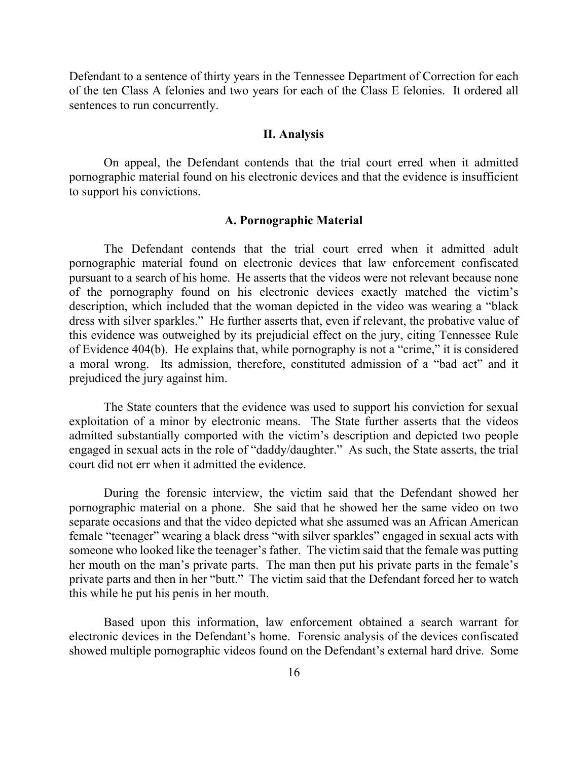Defendant to a sentence of thirty years in the Tennessee Department of Correction for each of the ten Class A felonies and two years for each of the Class E felonies. It ordered all sentences to run concurrently.

#### **II. Analysis**

On appeal, the Defendant contends that the trial court erred when it admitted pornographic material found on his electronic devices and that the evidence is insufficient to support his convictions.

### **A. Pornographic Material**

The Defendant contends that the trial court erred when it admitted adult pornographic material found on electronic devices that law enforcement confiscated pursuant to a search of his home. He asserts that the videos were not relevant because none of the pornography found on his electronic devices exactly matched the victim's description, which included that the woman depicted in the video was wearing a "black dress with silver sparkles." He further asserts that, even if relevant, the probative value of this evidence was outweighed by its prejudicial effect on the jury, citing Tennessee Rule of Evidence 404(b). He explains that, while pornography is not a "crime," it is considered a moral wrong. Its admission, therefore, constituted admission of a "bad act" and it prejudiced the jury against him.

The State counters that the evidence was used to support his conviction for sexual exploitation of a minor by electronic means. The State further asserts that the videos admitted substantially comported with the victim's description and depicted two people engaged in sexual acts in the role of "daddy/daughter." As such, the State asserts, the trial court did not err when it admitted the evidence.

During the forensic interview, the victim said that the Defendant showed her pornographic material on a phone. She said that he showed her the same video on two separate occasions and that the video depicted what she assumed was an African American female "teenager" wearing a black dress "with silver sparkles" engaged in sexual acts with someone who looked like the teenager's father. The victim said that the female was putting her mouth on the man's private parts. The man then put his private parts in the female's private parts and then in her "butt." The victim said that the Defendant forced her to watch this while he put his penis in her mouth.

Based upon this information, law enforcement obtained a search warrant for electronic devices in the Defendant's home. Forensic analysis of the devices confiscated showed multiple pornographic videos found on the Defendant's external hard drive. Some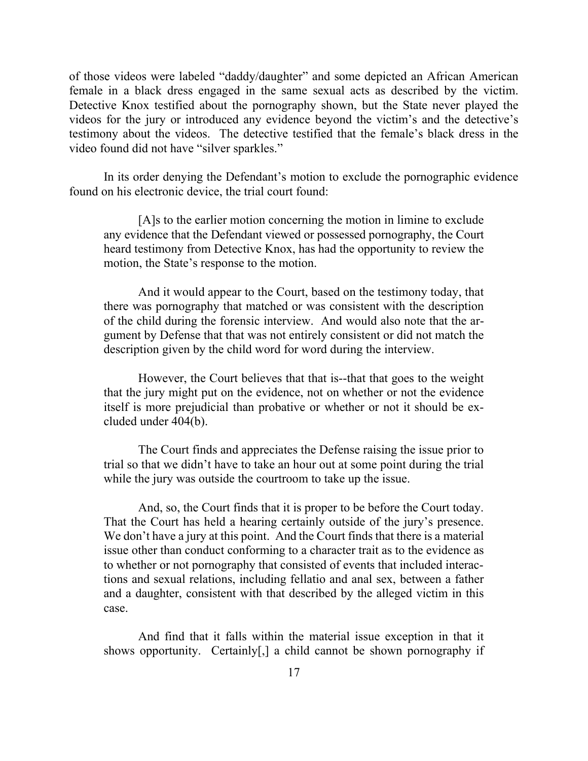of those videos were labeled "daddy/daughter" and some depicted an African American female in a black dress engaged in the same sexual acts as described by the victim. Detective Knox testified about the pornography shown, but the State never played the videos for the jury or introduced any evidence beyond the victim's and the detective's testimony about the videos. The detective testified that the female's black dress in the video found did not have "silver sparkles."

In its order denying the Defendant's motion to exclude the pornographic evidence found on his electronic device, the trial court found:

[A]s to the earlier motion concerning the motion in limine to exclude any evidence that the Defendant viewed or possessed pornography, the Court heard testimony from Detective Knox, has had the opportunity to review the motion, the State's response to the motion.

And it would appear to the Court, based on the testimony today, that there was pornography that matched or was consistent with the description of the child during the forensic interview. And would also note that the argument by Defense that that was not entirely consistent or did not match the description given by the child word for word during the interview.

However, the Court believes that that is--that that goes to the weight that the jury might put on the evidence, not on whether or not the evidence itself is more prejudicial than probative or whether or not it should be excluded under 404(b).

The Court finds and appreciates the Defense raising the issue prior to trial so that we didn't have to take an hour out at some point during the trial while the jury was outside the courtroom to take up the issue.

And, so, the Court finds that it is proper to be before the Court today. That the Court has held a hearing certainly outside of the jury's presence. We don't have a jury at this point. And the Court finds that there is a material issue other than conduct conforming to a character trait as to the evidence as to whether or not pornography that consisted of events that included interactions and sexual relations, including fellatio and anal sex, between a father and a daughter, consistent with that described by the alleged victim in this case.

And find that it falls within the material issue exception in that it shows opportunity. Certainly[,] a child cannot be shown pornography if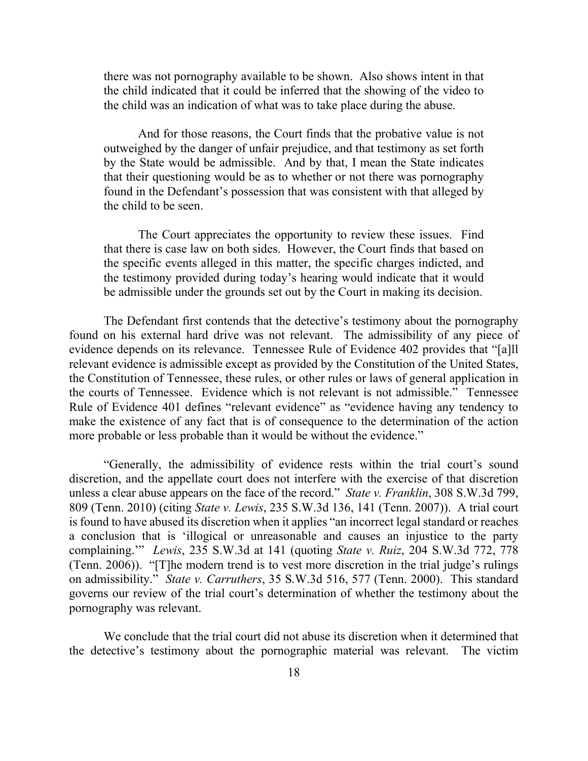there was not pornography available to be shown. Also shows intent in that the child indicated that it could be inferred that the showing of the video to the child was an indication of what was to take place during the abuse.

And for those reasons, the Court finds that the probative value is not outweighed by the danger of unfair prejudice, and that testimony as set forth by the State would be admissible. And by that, I mean the State indicates that their questioning would be as to whether or not there was pornography found in the Defendant's possession that was consistent with that alleged by the child to be seen.

The Court appreciates the opportunity to review these issues. Find that there is case law on both sides. However, the Court finds that based on the specific events alleged in this matter, the specific charges indicted, and the testimony provided during today's hearing would indicate that it would be admissible under the grounds set out by the Court in making its decision.

The Defendant first contends that the detective's testimony about the pornography found on his external hard drive was not relevant. The admissibility of any piece of evidence depends on its relevance. Tennessee Rule of Evidence 402 provides that "[a]ll relevant evidence is admissible except as provided by the Constitution of the United States, the Constitution of Tennessee, these rules, or other rules or laws of general application in the courts of Tennessee. Evidence which is not relevant is not admissible." Tennessee Rule of Evidence 401 defines "relevant evidence" as "evidence having any tendency to make the existence of any fact that is of consequence to the determination of the action more probable or less probable than it would be without the evidence."

"Generally, the admissibility of evidence rests within the trial court's sound discretion, and the appellate court does not interfere with the exercise of that discretion unless a clear abuse appears on the face of the record." *State v. Franklin*, 308 S.W.3d 799, 809 (Tenn. 2010) (citing *State v. Lewis*, 235 S.W.3d 136, 141 (Tenn. 2007)). A trial court is found to have abused its discretion when it applies "an incorrect legal standard or reaches a conclusion that is 'illogical or unreasonable and causes an injustice to the party complaining.'" *Lewis*, 235 S.W.3d at 141 (quoting *State v. Ruiz*, 204 S.W.3d 772, 778 (Tenn. 2006)). "[T]he modern trend is to vest more discretion in the trial judge's rulings on admissibility." *State v. Carruthers*, 35 S.W.3d 516, 577 (Tenn. 2000). This standard governs our review of the trial court's determination of whether the testimony about the pornography was relevant.

We conclude that the trial court did not abuse its discretion when it determined that the detective's testimony about the pornographic material was relevant. The victim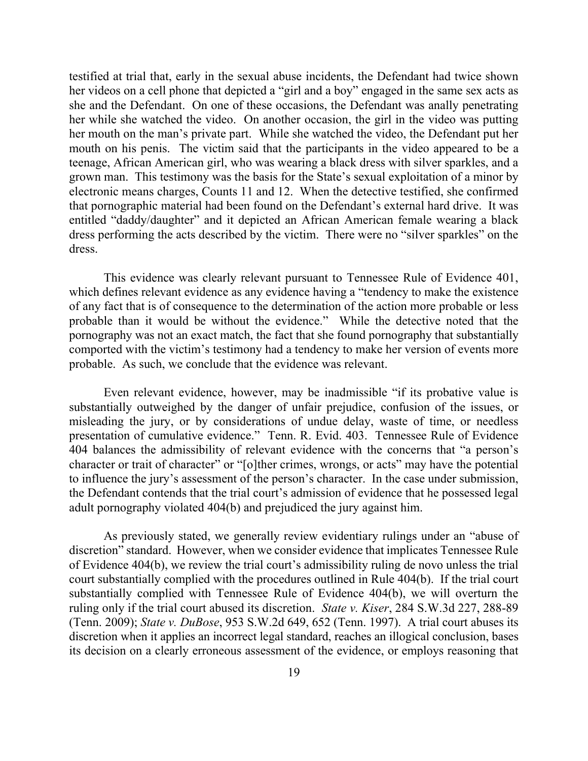testified at trial that, early in the sexual abuse incidents, the Defendant had twice shown her videos on a cell phone that depicted a "girl and a boy" engaged in the same sex acts as she and the Defendant. On one of these occasions, the Defendant was anally penetrating her while she watched the video. On another occasion, the girl in the video was putting her mouth on the man's private part. While she watched the video, the Defendant put her mouth on his penis. The victim said that the participants in the video appeared to be a teenage, African American girl, who was wearing a black dress with silver sparkles, and a grown man. This testimony was the basis for the State's sexual exploitation of a minor by electronic means charges, Counts 11 and 12. When the detective testified, she confirmed that pornographic material had been found on the Defendant's external hard drive. It was entitled "daddy/daughter" and it depicted an African American female wearing a black dress performing the acts described by the victim. There were no "silver sparkles" on the dress.

This evidence was clearly relevant pursuant to Tennessee Rule of Evidence 401, which defines relevant evidence as any evidence having a "tendency to make the existence of any fact that is of consequence to the determination of the action more probable or less probable than it would be without the evidence." While the detective noted that the pornography was not an exact match, the fact that she found pornography that substantially comported with the victim's testimony had a tendency to make her version of events more probable. As such, we conclude that the evidence was relevant.

Even relevant evidence, however, may be inadmissible "if its probative value is substantially outweighed by the danger of unfair prejudice, confusion of the issues, or misleading the jury, or by considerations of undue delay, waste of time, or needless presentation of cumulative evidence." Tenn. R. Evid. 403. Tennessee Rule of Evidence 404 balances the admissibility of relevant evidence with the concerns that "a person's character or trait of character" or "[o]ther crimes, wrongs, or acts" may have the potential to influence the jury's assessment of the person's character. In the case under submission, the Defendant contends that the trial court's admission of evidence that he possessed legal adult pornography violated 404(b) and prejudiced the jury against him.

As previously stated, we generally review evidentiary rulings under an "abuse of discretion" standard. However, when we consider evidence that implicates Tennessee Rule of Evidence 404(b), we review the trial court's admissibility ruling de novo unless the trial court substantially complied with the procedures outlined in Rule 404(b). If the trial court substantially complied with Tennessee Rule of Evidence 404(b), we will overturn the ruling only if the trial court abused its discretion. *State v. Kiser*, 284 S.W.3d 227, 288-89 (Tenn. 2009); *State v. DuBose*, 953 S.W.2d 649, 652 (Tenn. 1997). A trial court abuses its discretion when it applies an incorrect legal standard, reaches an illogical conclusion, bases its decision on a clearly erroneous assessment of the evidence, or employs reasoning that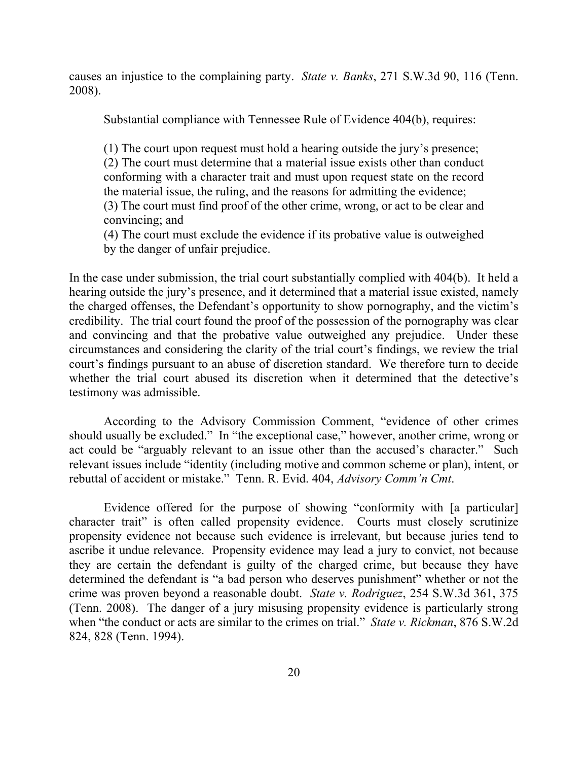causes an injustice to the complaining party. *State v. Banks*, 271 S.W.3d 90, 116 (Tenn. 2008).

Substantial compliance with Tennessee Rule of Evidence 404(b), requires:

(1) The court upon request must hold a hearing outside the jury's presence; (2) The court must determine that a material issue exists other than conduct conforming with a character trait and must upon request state on the record the material issue, the ruling, and the reasons for admitting the evidence; (3) The court must find proof of the other crime, wrong, or act to be clear and convincing; and

(4) The court must exclude the evidence if its probative value is outweighed by the danger of unfair prejudice.

In the case under submission, the trial court substantially complied with 404(b). It held a hearing outside the jury's presence, and it determined that a material issue existed, namely the charged offenses, the Defendant's opportunity to show pornography, and the victim's credibility. The trial court found the proof of the possession of the pornography was clear and convincing and that the probative value outweighed any prejudice. Under these circumstances and considering the clarity of the trial court's findings, we review the trial court's findings pursuant to an abuse of discretion standard. We therefore turn to decide whether the trial court abused its discretion when it determined that the detective's testimony was admissible.

According to the Advisory Commission Comment, "evidence of other crimes should usually be excluded." In "the exceptional case," however, another crime, wrong or act could be "arguably relevant to an issue other than the accused's character." Such relevant issues include "identity (including motive and common scheme or plan), intent, or rebuttal of accident or mistake." Tenn. R. Evid. 404, *Advisory Comm'n Cmt*.

Evidence offered for the purpose of showing "conformity with [a particular] character trait" is often called propensity evidence. Courts must closely scrutinize propensity evidence not because such evidence is irrelevant, but because juries tend to ascribe it undue relevance. Propensity evidence may lead a jury to convict, not because they are certain the defendant is guilty of the charged crime, but because they have determined the defendant is "a bad person who deserves punishment" whether or not the crime was proven beyond a reasonable doubt. *State v. Rodriguez*, 254 S.W.3d 361, 375 (Tenn. 2008). The danger of a jury misusing propensity evidence is particularly strong when "the conduct or acts are similar to the crimes on trial." *State v. Rickman*, 876 S.W.2d 824, 828 (Tenn. 1994).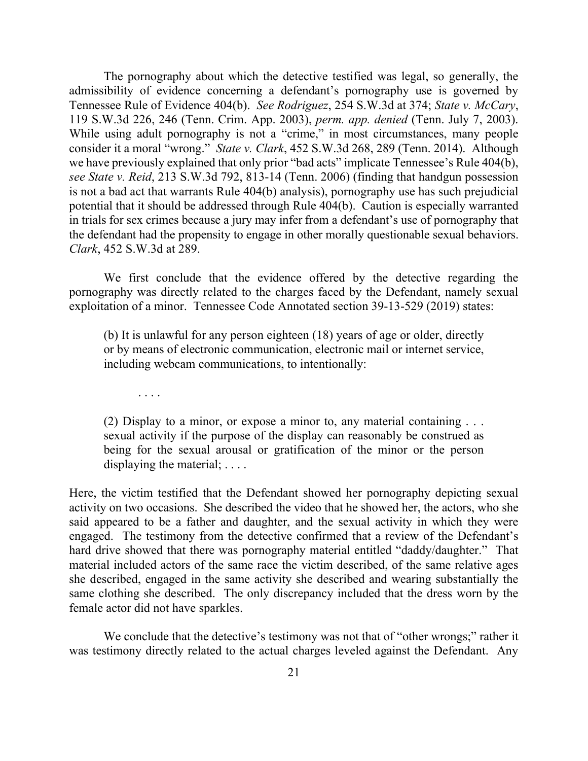The pornography about which the detective testified was legal, so generally, the admissibility of evidence concerning a defendant's pornography use is governed by Tennessee Rule of Evidence 404(b). *See Rodriguez*, 254 S.W.3d at 374; *State v. McCary*, 119 S.W.3d 226, 246 (Tenn. Crim. App. 2003), *perm. app. denied* (Tenn. July 7, 2003). While using adult pornography is not a "crime," in most circumstances, many people consider it a moral "wrong." *State v. Clark*, 452 S.W.3d 268, 289 (Tenn. 2014). Although we have previously explained that only prior "bad acts" implicate Tennessee's Rule 404(b), *see State v. Reid*, 213 S.W.3d 792, 813-14 (Tenn. 2006) (finding that handgun possession is not a bad act that warrants Rule 404(b) analysis), pornography use has such prejudicial potential that it should be addressed through Rule 404(b). Caution is especially warranted in trials for sex crimes because a jury may infer from a defendant's use of pornography that the defendant had the propensity to engage in other morally questionable sexual behaviors. *Clark*, 452 S.W.3d at 289.

We first conclude that the evidence offered by the detective regarding the pornography was directly related to the charges faced by the Defendant, namely sexual exploitation of a minor. Tennessee Code Annotated section 39-13-529 (2019) states:

(b) It is unlawful for any person eighteen (18) years of age or older, directly or by means of electronic communication, electronic mail or internet service, including webcam communications, to intentionally:

. . . .

(2) Display to a minor, or expose a minor to, any material containing . . . sexual activity if the purpose of the display can reasonably be construed as being for the sexual arousal or gratification of the minor or the person displaying the material; ....

Here, the victim testified that the Defendant showed her pornography depicting sexual activity on two occasions. She described the video that he showed her, the actors, who she said appeared to be a father and daughter, and the sexual activity in which they were engaged. The testimony from the detective confirmed that a review of the Defendant's hard drive showed that there was pornography material entitled "daddy/daughter." That material included actors of the same race the victim described, of the same relative ages she described, engaged in the same activity she described and wearing substantially the same clothing she described. The only discrepancy included that the dress worn by the female actor did not have sparkles.

We conclude that the detective's testimony was not that of "other wrongs;" rather it was testimony directly related to the actual charges leveled against the Defendant. Any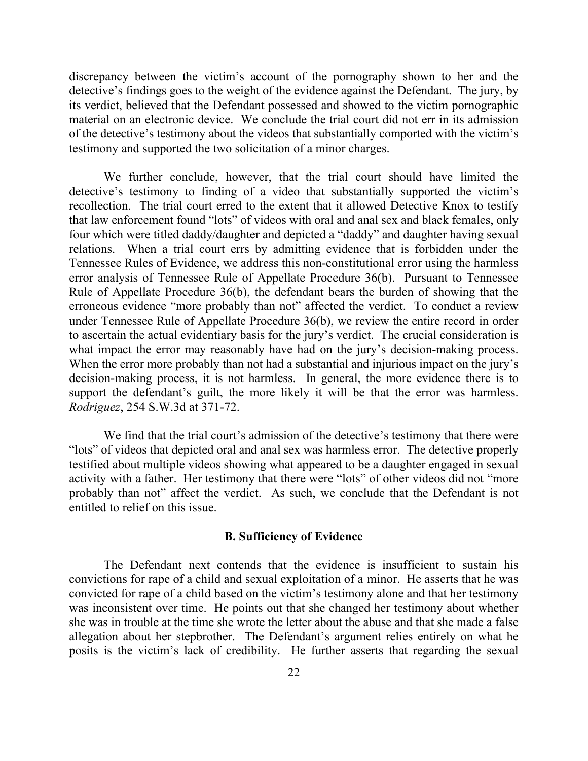discrepancy between the victim's account of the pornography shown to her and the detective's findings goes to the weight of the evidence against the Defendant. The jury, by its verdict, believed that the Defendant possessed and showed to the victim pornographic material on an electronic device. We conclude the trial court did not err in its admission of the detective's testimony about the videos that substantially comported with the victim's testimony and supported the two solicitation of a minor charges.

We further conclude, however, that the trial court should have limited the detective's testimony to finding of a video that substantially supported the victim's recollection. The trial court erred to the extent that it allowed Detective Knox to testify that law enforcement found "lots" of videos with oral and anal sex and black females, only four which were titled daddy/daughter and depicted a "daddy" and daughter having sexual relations. When a trial court errs by admitting evidence that is forbidden under the Tennessee Rules of Evidence, we address this non-constitutional error using the harmless error analysis of Tennessee Rule of Appellate Procedure 36(b). Pursuant to Tennessee Rule of Appellate Procedure 36(b), the defendant bears the burden of showing that the erroneous evidence "more probably than not" affected the verdict. To conduct a review under Tennessee Rule of Appellate Procedure 36(b), we review the entire record in order to ascertain the actual evidentiary basis for the jury's verdict. The crucial consideration is what impact the error may reasonably have had on the jury's decision-making process. When the error more probably than not had a substantial and injurious impact on the jury's decision-making process, it is not harmless. In general, the more evidence there is to support the defendant's guilt, the more likely it will be that the error was harmless. *Rodriguez*, 254 S.W.3d at 371-72.

We find that the trial court's admission of the detective's testimony that there were "lots" of videos that depicted oral and anal sex was harmless error. The detective properly testified about multiple videos showing what appeared to be a daughter engaged in sexual activity with a father. Her testimony that there were "lots" of other videos did not "more probably than not" affect the verdict. As such, we conclude that the Defendant is not entitled to relief on this issue.

### **B. Sufficiency of Evidence**

The Defendant next contends that the evidence is insufficient to sustain his convictions for rape of a child and sexual exploitation of a minor. He asserts that he was convicted for rape of a child based on the victim's testimony alone and that her testimony was inconsistent over time. He points out that she changed her testimony about whether she was in trouble at the time she wrote the letter about the abuse and that she made a false allegation about her stepbrother. The Defendant's argument relies entirely on what he posits is the victim's lack of credibility. He further asserts that regarding the sexual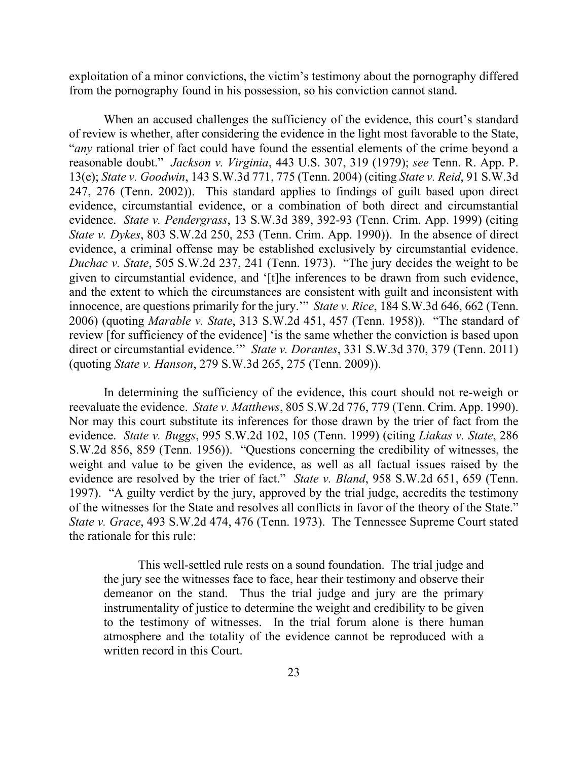exploitation of a minor convictions, the victim's testimony about the pornography differed from the pornography found in his possession, so his conviction cannot stand.

When an accused challenges the sufficiency of the evidence, this court's standard of review is whether, after considering the evidence in the light most favorable to the State, "*any* rational trier of fact could have found the essential elements of the crime beyond a reasonable doubt." *Jackson v. Virginia*, 443 U.S. 307, 319 (1979); *see* Tenn. R. App. P. 13(e); *State v. Goodwin*, 143 S.W.3d 771, 775 (Tenn. 2004) (citing *State v. Reid*, 91 S.W.3d 247, 276 (Tenn. 2002)). This standard applies to findings of guilt based upon direct evidence, circumstantial evidence, or a combination of both direct and circumstantial evidence. *State v. Pendergrass*, 13 S.W.3d 389, 392-93 (Tenn. Crim. App. 1999) (citing *State v. Dykes*, 803 S.W.2d 250, 253 (Tenn. Crim. App. 1990)). In the absence of direct evidence, a criminal offense may be established exclusively by circumstantial evidence. *Duchac v. State*, 505 S.W.2d 237, 241 (Tenn. 1973). "The jury decides the weight to be given to circumstantial evidence, and '[t]he inferences to be drawn from such evidence, and the extent to which the circumstances are consistent with guilt and inconsistent with innocence, are questions primarily for the jury.'" *State v. Rice*, 184 S.W.3d 646, 662 (Tenn. 2006) (quoting *Marable v. State*, 313 S.W.2d 451, 457 (Tenn. 1958)). "The standard of review [for sufficiency of the evidence] 'is the same whether the conviction is based upon direct or circumstantial evidence.'" *State v. Dorantes*, 331 S.W.3d 370, 379 (Tenn. 2011) (quoting *State v. Hanson*, 279 S.W.3d 265, 275 (Tenn. 2009)).

In determining the sufficiency of the evidence, this court should not re-weigh or reevaluate the evidence. *State v. Matthews*, 805 S.W.2d 776, 779 (Tenn. Crim. App. 1990). Nor may this court substitute its inferences for those drawn by the trier of fact from the evidence. *State v. Buggs*, 995 S.W.2d 102, 105 (Tenn. 1999) (citing *Liakas v. State*, 286 S.W.2d 856, 859 (Tenn. 1956)). "Questions concerning the credibility of witnesses, the weight and value to be given the evidence, as well as all factual issues raised by the evidence are resolved by the trier of fact." *State v. Bland*, 958 S.W.2d 651, 659 (Tenn. 1997). "A guilty verdict by the jury, approved by the trial judge, accredits the testimony of the witnesses for the State and resolves all conflicts in favor of the theory of the State." *State v. Grace*, 493 S.W.2d 474, 476 (Tenn. 1973). The Tennessee Supreme Court stated the rationale for this rule:

This well-settled rule rests on a sound foundation. The trial judge and the jury see the witnesses face to face, hear their testimony and observe their demeanor on the stand. Thus the trial judge and jury are the primary instrumentality of justice to determine the weight and credibility to be given to the testimony of witnesses. In the trial forum alone is there human atmosphere and the totality of the evidence cannot be reproduced with a written record in this Court.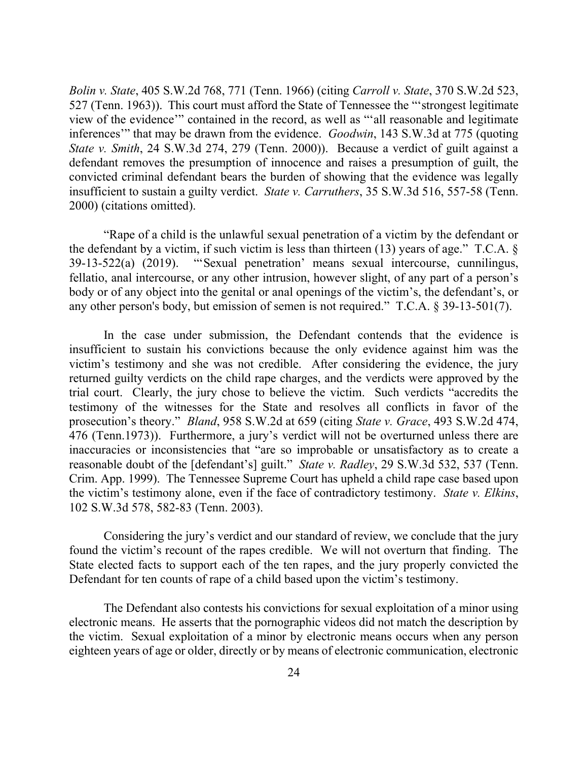*Bolin v. State*, 405 S.W.2d 768, 771 (Tenn. 1966) (citing *Carroll v. State*, 370 S.W.2d 523, 527 (Tenn. 1963)). This court must afford the State of Tennessee the "'strongest legitimate view of the evidence'" contained in the record, as well as "'all reasonable and legitimate inferences'" that may be drawn from the evidence. *Goodwin*, 143 S.W.3d at 775 (quoting *State v. Smith*, 24 S.W.3d 274, 279 (Tenn. 2000)). Because a verdict of guilt against a defendant removes the presumption of innocence and raises a presumption of guilt, the convicted criminal defendant bears the burden of showing that the evidence was legally insufficient to sustain a guilty verdict. *State v. Carruthers*, 35 S.W.3d 516, 557-58 (Tenn. 2000) (citations omitted).

"Rape of a child is the unlawful sexual penetration of a victim by the defendant or the defendant by a victim, if such victim is less than thirteen (13) years of age." T.C.A. § 39-13-522(a) (2019). "'Sexual penetration' means sexual intercourse, cunnilingus, fellatio, anal intercourse, or any other intrusion, however slight, of any part of a person's body or of any object into the genital or anal openings of the victim's, the defendant's, or any other person's body, but emission of semen is not required." T.C.A. § 39-13-501(7).

In the case under submission, the Defendant contends that the evidence is insufficient to sustain his convictions because the only evidence against him was the victim's testimony and she was not credible. After considering the evidence, the jury returned guilty verdicts on the child rape charges, and the verdicts were approved by the trial court. Clearly, the jury chose to believe the victim. Such verdicts "accredits the testimony of the witnesses for the State and resolves all conflicts in favor of the prosecution's theory." *Bland*, 958 S.W.2d at 659 (citing *State v. Grace*, 493 S.W.2d 474, 476 (Tenn.1973)). Furthermore, a jury's verdict will not be overturned unless there are inaccuracies or inconsistencies that "are so improbable or unsatisfactory as to create a reasonable doubt of the [defendant's] guilt." *State v. Radley*, 29 S.W.3d 532, 537 (Tenn. Crim. App. 1999). The Tennessee Supreme Court has upheld a child rape case based upon the victim's testimony alone, even if the face of contradictory testimony. *State v. Elkins*, 102 S.W.3d 578, 582-83 (Tenn. 2003).

Considering the jury's verdict and our standard of review, we conclude that the jury found the victim's recount of the rapes credible. We will not overturn that finding. The State elected facts to support each of the ten rapes, and the jury properly convicted the Defendant for ten counts of rape of a child based upon the victim's testimony.

The Defendant also contests his convictions for sexual exploitation of a minor using electronic means. He asserts that the pornographic videos did not match the description by the victim. Sexual exploitation of a minor by electronic means occurs when any person eighteen years of age or older, directly or by means of electronic communication, electronic